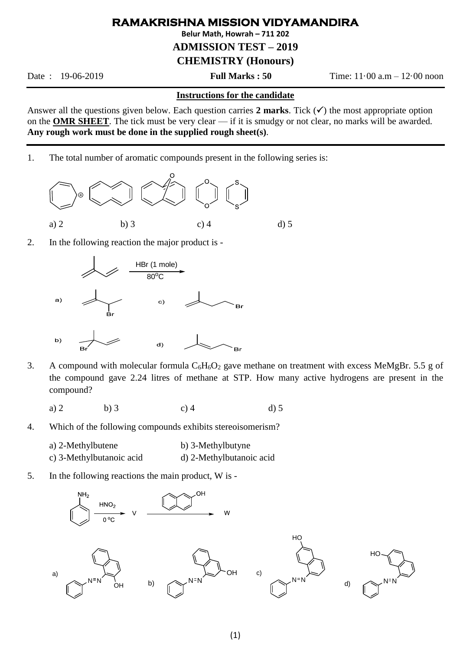## **RAMAKRISHNA MISSION VIDYAMANDIRA**

**Belur Math, Howrah – 711 202**

## **ADMISSION TEST – 2019**

## **CHEMISTRY (Honours)**

Date : 19-06-2019 **Full Marks : 50** Time: 11·00 a.m – 12·00 noon

## **Instructions for the candidate**

Answer all the questions given below. Each question carries  $2$  marks. Tick  $(\checkmark)$  the most appropriate option on the **OMR SHEET**. The tick must be very clear — if it is smudgy or not clear, no marks will be awarded. **Any rough work must be done in the supplied rough sheet(s)**.

1. The total number of aromatic compounds present in the following series is:



2. In the following reaction the major product is -



- 3. A compound with molecular formula  $C_6H_6O_2$  gave methane on treatment with excess MeMgBr. 5.5 g of the compound gave 2.24 litres of methane at STP. How many active hydrogens are present in the compound?
	- a) 2 b) 3 c) 4 d) 5
- 4. Which of the following compounds exhibits stereoisomerism?
	- a) 2-Methylbutene b) 3-Methylbutyne
	- c) 3-Methylbutanoic acid d) 2-Methylbutanoic acid
- 5. In the following reactions the main product, W is -

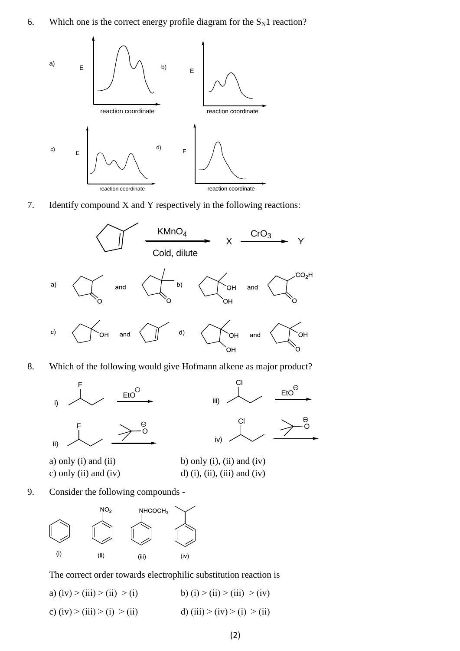6. Which one is the correct energy profile diagram for the  $S_N1$  reaction?



7. Identify compound X and Y respectively in the following reactions:



8. Which of the following would give Hofmann alkene as major product?



a) only (i) and (ii) b) only (i), (ii) and (iv) c) only (ii) and (iv) d) (i), (iii), (iii) and (iv)

9. Consider the following compounds -



The correct order towards electrophilic substitution reaction is

a) (iv) > (iii) > (ii) > (i) b) (i) > (iii) > (iv)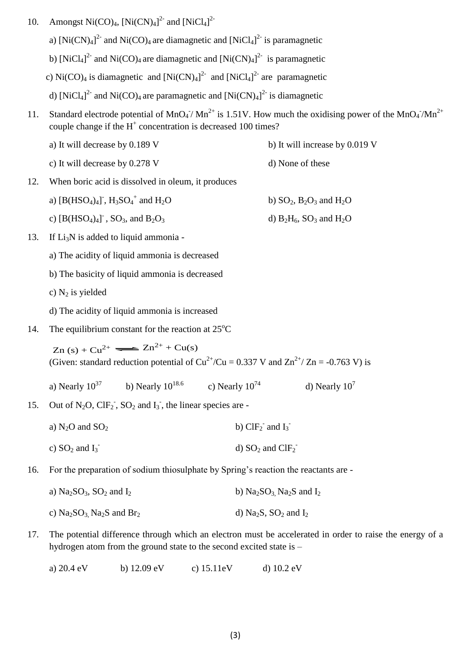- 10. Amongst Ni(CO)<sub>4</sub>,  $[Ni(CN)<sub>4</sub>]$ <sup>2</sup> and  $[NiCl<sub>4</sub>]$ <sup>2</sup>
	- a)  $[Ni(CN)<sub>4</sub>]$ <sup>2</sup> and  $Ni(CO)<sub>4</sub>$  are diamagnetic and  $[NiCl<sub>4</sub>]$ <sup>2</sup> is paramagnetic
- b) [NiCl<sub>4</sub>]<sup>2-</sup> and Ni(CO)<sub>4</sub> are diamagnetic and  $[Ni(CN)<sub>4</sub>]$ <sup>2-</sup> is paramagnetic
- c) Ni(CO)<sub>4</sub> is diamagnetic and  $[Ni(CN)<sub>4</sub>]$ <sup>2</sup> and  $[NiCl<sub>4</sub>]$ <sup>2</sup> are paramagnetic
	- d) [NiCl<sub>4</sub>]<sup>2-</sup> and Ni(CO)<sub>4</sub> are paramagnetic and [Ni(CN)<sub>4</sub>]<sup>2-</sup> is diamagnetic
- 11. Standard electrode potential of MnO<sub>4</sub><sup>-</sup>/ Mn<sup>2+</sup> is 1.51V. How much the oxidising power of the MnO<sub>4</sub><sup>-</sup>/Mn<sup>2+</sup> couple change if the  $H^+$  concentration is decreased 100 times?

d)  $B_2H_6$ ,  $SO_3$  and  $H_2O$ 

- a) It will decrease by  $0.189 \text{ V}$  b) It will increase by  $0.019 \text{ V}$
- c) It will decrease by  $0.278$  V d) None of these
- 12. When boric acid is dissolved in oleum, it produces
	- a)  $[B(HSO_4)_4]$ ,  $H_3SO_4^+$ b)  $SO_2$ ,  $B_2O_3$  and  $H_2O$
	- c)  $[B(HSO_4)_4]$
- 13. If  $Li<sub>3</sub>N$  is added to liquid ammonia
	- a) The acidity of liquid ammonia is decreased
	- b) The basicity of liquid ammonia is decreased
	- c)  $N_2$  is yielded
	- d) The acidity of liquid ammonia is increased
- 14. The equilibrium constant for the reaction at  $25^{\circ}$ C

 $Zn (s) + Cu^{2+} \implies Zn^{2+} + Cu(s)$ (Given: standard reduction potential of  $Cu^{2+}/Cu = 0.337$  V and  $Zn^{2+}/Zn = -0.763$  V) is

- a) Nearly  $10^{37}$  b) Nearly  $10^{18.6}$  c) Nearly  $10^{74}$  d) Nearly  $10^7$
- 15. Out of  $N_2O$ ,  $CIF_2$ ,  $SO_2$  and  $I_3$ , the linear species are
	- a)  $N<sub>2</sub>O$  and  $SO<sub>2</sub>$ and  $I_3$ <sup>-</sup>
	- c)  $SO_2$  and  $I_3$ <sup>-</sup> d)  $SO_2$  and  $ClF_2^-$
- 16. For the preparation of sodium thiosulphate by Spring's reaction the reactants are
	- a)  $Na<sub>2</sub>SO<sub>3</sub>$ ,  $SO<sub>2</sub>$  and  $I<sub>2</sub>$  b)  $Na<sub>2</sub>SO<sub>3</sub>$ ,  $Na<sub>2</sub>S$  and  $I<sub>2</sub>$
	- c) Na<sub>2</sub>SO<sub>3</sub>, Na<sub>2</sub>S and Br<sub>2</sub> d) Na<sub>2</sub>S, SO<sub>2</sub> and I<sub>2</sub>
- 17. The potential difference through which an electron must be accelerated in order to raise the energy of a hydrogen atom from the ground state to the second excited state is –
	- a) 20.4 eV b) 12.09 eV c) 15.11eV d) 10.2 eV